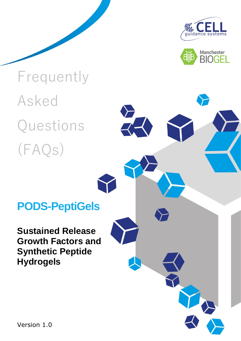



# Frequently Asked Questions (FAQs)

### **PODS-PeptiGels**

**Sustained Release Growth Factors and Synthetic Peptide Hydrogels** 

Version 1.0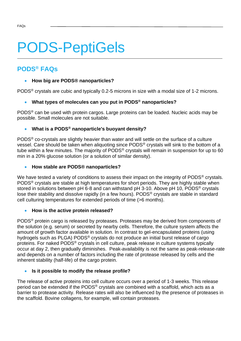## PODS-PeptiGels

#### **PODS® FAQs**

#### • **How big are PODS® nanoparticles?**

PODS® crystals are cubic and typically 0.2-5 microns in size with a modal size of 1-2 microns.

#### • **What types of molecules can you put in PODS® nanoparticles?**

PODS® can be used with protein cargos. Large proteins can be loaded. Nucleic acids may be possible. Small molecules are not suitable.

#### • **What is a PODS® nanoparticle's buoyant density?**

PODS® co-crystals are slightly heavier than water and will settle on the surface of a culture vessel. Care should be taken when aliquoting since PODS® crystals will sink to the bottom of a tube within a few minutes. The majority of PODS® crystals will remain in suspension for up to 60 min in a 20% glucose solution (or a solution of similar density).

#### • **How stable are PODS® nanoparticles?**

We have tested a variety of conditions to assess their impact on the integrity of PODS<sup>®</sup> crystals. PODS<sup>®</sup> crystals are stable at high temperatures for short periods. They are highly stable when stored in solutions between pH 6-8 and can withstand pH 3-10. Above pH 10, PODS<sup>®</sup> crystals lose their stability and dissolve rapidly (in a few hours). PODS® crystals are stable in standard cell culturing temperatures for extended periods of time (>6 months).

#### • **How is the active protein released?**

PODS® protein cargo is released by proteases. Proteases may be derived from components of the solution (e.g. serum) or secreted by nearby cells. Therefore, the culture system affects the amount of growth factor available in solution. In contrast to gel-encapsulated proteins (using hydrogels such as PLGA) PODS® crystals do not produce an initial burst release of cargo proteins. For naked PODS® crystals in cell culture, peak release in culture systems typically occur at day 2, then gradually diminishes. Peak-availability is not the same as peak-release-rate and depends on a number of factors including the rate of protease released by cells and the inherent stability (half-life) of the cargo protein.

#### • **Is it possible to modify the release profile?**

The release of active proteins into cell culture occurs over a period of 1-3 weeks. This release period can be extended if the PODS® crystals are combined with a scaffold, which acts as a barrier to protease activity. Release rates will also be influenced by the presence of proteases in the scaffold. Bovine collagens, for example, will contain proteases.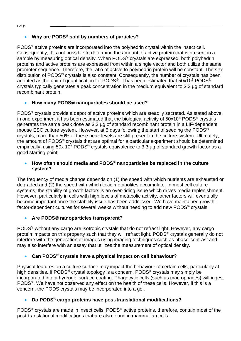#### • **Why are PODS® sold by numbers of particles?**

PODS® active proteins are incorporated into the polyhedrin crystal within the insect cell. Consequently, it is not possible to determine the amount of active protein that is present in a sample by measuring optical density. When PODS<sup>®</sup> crystals are expressed, both polyhedrin proteins and active proteins are expressed from within a single vector and both utilize the same promoter sequence. Therefore, the ratio of active to polyhedrin protein will be constant. The size distribution of PODS® crystals is also constant. Consequently, the number of crystals has been adopted as the unit of quantification for PODS<sup>®</sup>. It has been estimated that 50x10<sup>6</sup> PODS<sup>®</sup> crystals typically generates a peak concentration in the medium equivalent to 3.3 µg of standard recombinant protein.

#### • **How many PODS® nanoparticles should be used?**

PODS® crystals provide a depot of active proteins which are steadily secreted. As stated above, in one experiment it has been estimated that the biological activity of  $50x10^6$  PODS<sup>®</sup> crystals generates the same peak dose as 3.3 µg of standard recombinant protein in a LIF-dependent mouse ESC culture system. However, at 5 days following the start of seeding the PODS® crystals, more than 50% of these peak levels are still present in the culture system. Ultimately, the amount of PODS® crystals that are optimal for a particular experiment should be determined empirically, using 50x 10<sup>6</sup> PODS<sup>®</sup> crystals equivalence to 3.3 µg of standard growth factor as a good starting point.

#### • **How often should media and PODS® nanoparticles be replaced in the culture system?**

The frequency of media change depends on (1) the speed with which nutrients are exhausted or degraded and (2) the speed with which toxic metabolites accumulate. In most cell culture systems, the stability of growth factors is an over-riding issue which drives media replenishment. However, particularly in cells with high levels of metabolic activity, other factors will eventually become important once the stability issue has been addressed. We have maintained growthfactor-dependent cultures for several weeks without needing to add new PODS® crystals.

#### • **Are PODS® nanoparticles transparent?**

PODS® without any cargo are isotropic crystals that do not refract light. However, any cargo protein impacts on this property such that they will refract light. PODS® crystals generally do not interfere with the generation of images using imaging techniques such as phase-contrast and may also interfere with an assay that utilizes the measurement of optical density.

#### • **Can PODS® crystals have a physical impact on cell behaviour?**

Physical features on a culture surface may impact the behaviour of certain cells, particularly at high densities. If PODS<sup>®</sup> crystal topology is a concern, PODS<sup>®</sup> crystals may simply be incorporated into a hydrogel surface coating. Phagocytic cells (such as macrophages) will ingest PODS®. We have not observed any effect on the health of these cells. However, if this is a concern, the PODS crystals may be incorporated into a gel.

#### • **Do PODS® cargo proteins have post-translational modifications?**

PODS® crystals are made in insect cells. PODS® active proteins, therefore, contain most of the post-translational modifications that are also found in mammalian cells.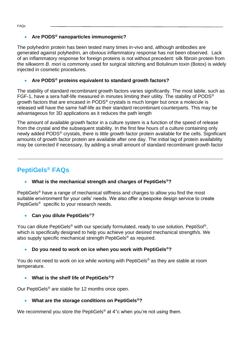#### • **Are PODS® nanoparticles immunogenic?**

The polyhedrin protein has been tested many times in-vivo and, although antibodies are generated against polyhedrin, an obvious inflammatory response has not been observed. Lack of an inflammatory response for foreign proteins is not without precedent: silk fibroin protein from the silkworm *B. mori* is commonly used for surgical stitching and Botulinum toxin (Botox) is widely injected in cosmetic procedures.

#### • **Are PODS® proteins equivalent to standard growth factors?**

The stability of standard recombinant growth factors varies significantly. The most labile, such as FGF-1, have a sera half-life measured in minutes limiting their utility. The stability of PODS® growth factors that are encased in PODS® crystals is much longer but once a molecule is released will have the same half-life as their standard recombinant counterparts. This may be advantageous for 3D applications as it reduces the path length

The amount of available growth factor in a culture system is a function of the speed of release from the crystal and the subsequent stability. In the first few hours of a culture containing only newly added PODS<sup>®</sup> crystals, there is little growth factor protein available for the cells. Significant amounts of growth factor protein are available after one day. The initial lag of protein availability may be corrected if necessary, by adding a small amount of standard recombinant growth factor

#### **PeptiGels® FAQs**

#### • **What is the mechanical strength and charges of PeptiGels®?**

PeptiGels<sup>®</sup> have a range of mechanical stiffness and charges to allow you find the most suitable environment for your cells' needs. We also offer a bespoke design service to create PeptiGels® specific to your research needs.

#### • **Can you dilute PeptiGels**®**?**

You can dilute PeptiGels<sup>®</sup> with our specially formulated, ready to use solution, PeptiSol<sup>®</sup>, which is specifically designed to help you achieve your desired mechanical strength/s. We also supply specific mechanical strength PeptiGels® as required.

#### • **Do you need to work on ice when you work with PeptiGels®?**

You do not need to work on ice while working with PeptiGels® as they are stable at room temperature.

#### • **What is the shelf life of PeptiGels®?**

Our PeptiGels® are stable for 12 months once open.

#### • **What are the storage conditions on PeptiGels®?**

We recommend you store the PeptiGels<sup>®</sup> at 4°c when you're not using them.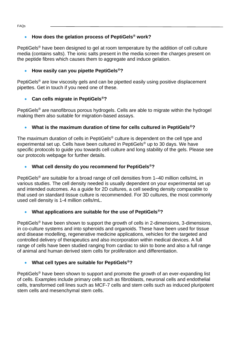FAQs

#### • **How does the gelation process of PeptiGels® work?**

PeptiGels<sup>®</sup> have been designed to gel at room temperature by the addition of cell culture media (contains salts). The ionic salts present in the media screen the charges present on the peptide fibres which causes them to aggregate and induce gelation.

#### • **How easily can you pipette PeptiGels®?**

PeptiGels<sup>®</sup> are low viscosity gels and can be pipetted easily using positive displacement pipettes. Get in touch if you need one of these.

#### • **Can cells migrate in PeptiGels®?**

PeptiGels<sup>®</sup> are nanofibrous porous hydrogels. Cells are able to migrate within the hydrogel making them also suitable for migration-based assays.

#### • **What is the maximum duration of time for cells cultured in PeptiGels®?**

The maximum duration of cells in PeptiGels<sup>®</sup> culture is dependent on the cell type and experimental set up. Cells have been cultured in PeptiGels® up to 30 days. We have specific protocols to guide you towards cell culture and long stability of the gels. Please see our protocols webpage for further details.

#### • **What cell density do you recommend for PeptiGels®?**

PeptiGels<sup>®</sup> are suitable for a broad range of cell densities from 1–40 million cells/mL in various studies. The cell density needed is usually dependent on your experimental set up and intended outcomes. As a guide for 2D cultures, a cell seeding density comparable to that used on standard tissue culture is recommended. For 3D cultures, the most commonly used cell density is 1-4 million cells/mL.

#### • **What applications are suitable for the use of PeptiGels®?**

PeptiGels® have been shown to support the growth of cells in 2-dimensions, 3-dimensions, in co-culture systems and into spheroids and organoids. These have been used for tissue and disease modelling, regenerative medicine applications, vehicles for the targeted and controlled delivery of therapeutics and also incorporation within medical devices. A full range of cells have been studied ranging from cardiac to skin to bone and also a full range of animal and human derived stem cells for proliferation and differentiation.

#### • **What cell types are suitable for PeptiGels®?**

PeptiGels<sup>®</sup> have been shown to support and promote the growth of an ever-expanding list of cells. Examples include primary cells such as fibroblasts, neuronal cells and endothelial cells, transformed cell lines such as MCF-7 cells and stem cells such as induced pluripotent stem cells and mesenchymal stem cells.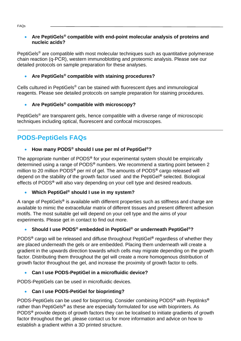#### • **Are PeptiGels® compatible with end-point molecular analysis of proteins and nucleic acids?**

PeptiGels<sup>®</sup> are compatible with most molecular techniques such as quantitative polymerase chain reaction (q-PCR), western immunoblotting and proteomic analysis. Please see our detailed protocols on sample preparation for these analyses.

#### • **Are PeptiGels® compatible with staining procedures?**

Cells cultured in PeptiGels® can be stained with fluorescent dyes and immunological reagents. Please see detailed protocols on sample preparation for staining procedures.

#### • **Are PeptiGels® compatible with microscopy?**

PeptiGels® are transparent gels, hence compatible with a diverse range of microscopic techniques including optical, fluorescent and confocal microscopes.

#### **PODS-PeptiGels FAQs**

#### • **How many PODS® should I use per ml of PeptiGel®?**

The appropriate number of PODS**®** for your experimental system should be empirically determined using a range of PODS**®** numbers. We recommend a starting point between 2 million to 20 million PODS**®** per ml of gel. The amounts of PODS**®** cargo released will depend on the stability of the growth factor used and the PeptiGel**®** selected. Biological effects of PODS**®** will also vary depending on your cell type and desired readouts.

#### • **Which PeptiGel® should I use in my system?**

A range of PeptiGels**®** is available with different properties such as stiffness and charge are available to mimic the extracellular matrix of different tissues and present different adhesion motifs. The most suitable gel will depend on your cell type and the aims of your experiments. Please get in contact to find out more.

#### • **Should I use PODS® embedded in PeptiGel® or underneath PeptiGel®?**

PODS**®** cargo will be released and diffuse throughout PeptiGel**®** regardless of whether they are placed underneath the gels or are embedded. Placing them underneath will create a gradient in the upwards direction towards which cells may migrate depending on the growth factor. Distributing them throughout the gel will create a more homogenous distribution of growth factor throughout the gel, and increase the proximity of growth factor to cells.

#### • **Can I use PODS-PeptiGel in a microfluidic device?**

PODS-PeptiGels can be used in microfluidic devices.

#### • **Can I use PODS-PetiGel for bioprinting?**

PODS-PeptiGels can be used for bioprinting. Consider combining PODS**®** with PeptiInks**®** rather than PeptiGels**®** as these are especially formulated for use with bioprinters. As PODS**®** provide depots of growth factors they can be localised to initiate gradients of growth factor throughout the gel. please contact us for more information and advice on how to establish a gradient within a 3D printed structure.

FAQs